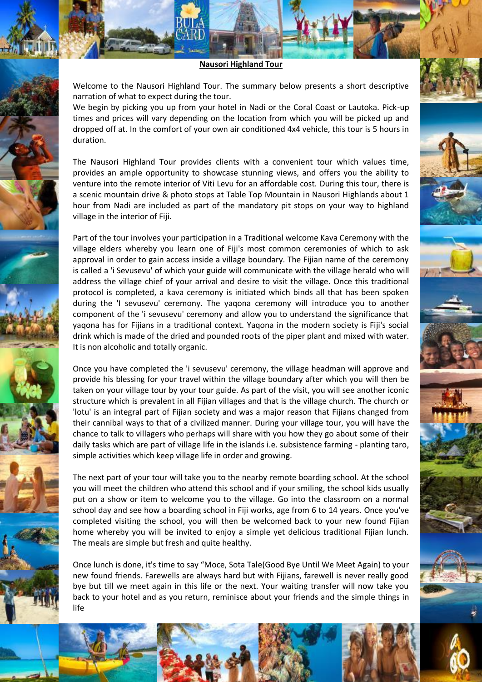**Nausori Highland Tour**

Welcome to the Nausori Highland Tour. The summary below presents a short descriptive narration of what to expect during the tour.

We begin by picking you up from your hotel in Nadi or the Coral Coast or Lautoka. Pick-up times and prices will vary depending on the location from which you will be picked up and dropped off at. In the comfort of your own air conditioned 4x4 vehicle, this tour is 5 hours in duration.

The Nausori Highland Tour provides clients with a convenient tour which values time, provides an ample opportunity to showcase stunning views, and offers you the ability to venture into the remote interior of Viti Levu for an affordable cost. During this tour, there is a scenic mountain drive & photo stops at Table Top Mountain in Nausori Highlands about 1 hour from Nadi are included as part of the mandatory pit stops on your way to highland village in the interior of Fiji.

Part of the tour involves your participation in a Traditional welcome Kava Ceremony with the village elders whereby you learn one of Fiji's most common ceremonies of which to ask approval in order to gain access inside a village boundary. The Fijian name of the ceremony is called a 'i Sevusevu' of which your guide will communicate with the village herald who will address the village chief of your arrival and desire to visit the village. Once this traditional protocol is completed, a kava ceremony is initiated which binds all that has been spoken during the 'I sevusevu' ceremony. The yaqona ceremony will introduce you to another component of the 'i sevusevu' ceremony and allow you to understand the significance that yaqona has for Fijians in a traditional context. Yaqona in the modern society is Fiji's social drink which is made of the dried and pounded roots of the piper plant and mixed with water. It is non alcoholic and totally organic.

Once you have completed the 'i sevusevu' ceremony, the village headman will approve and provide his blessing for your travel within the village boundary after which you will then be taken on your village tour by your tour guide. As part of the visit, you will see another iconic structure which is prevalent in all Fijian villages and that is the village church. The church or 'lotu' is an integral part of Fijian society and was a major reason that Fijians changed from their cannibal ways to that of a civilized manner. During your village tour, you will have the chance to talk to villagers who perhaps will share with you how they go about some of their daily tasks which are part of village life in the islands i.e. subsistence farming - planting taro, simple activities which keep village life in order and growing.

The next part of your tour will take you to the nearby remote boarding school. At the school you will meet the children who attend this school and if your smiling, the school kids usually put on a show or item to welcome you to the village. Go into the classroom on a normal school day and see how a boarding school in Fiji works, age from 6 to 14 years. Once you've completed visiting the school, you will then be welcomed back to your new found Fijian home whereby you will be invited to enjoy a simple yet delicious traditional Fijian lunch. The meals are simple but fresh and quite healthy.

Once lunch is done, it's time to say "Moce, Sota Tale(Good Bye Until We Meet Again) to your new found friends. Farewells are always hard but with Fijians, farewell is never really good bye but till we meet again in this life or the next. Your waiting transfer will now take you back to your hotel and as you return, reminisce about your friends and the simple things in life